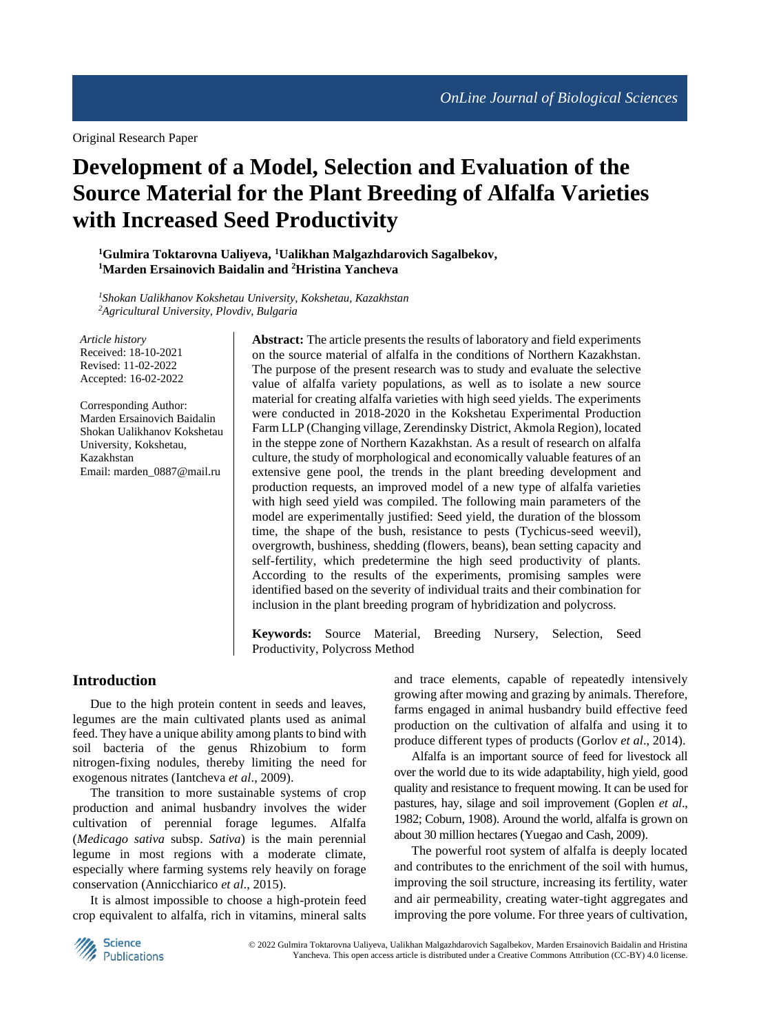Original Research Paper

# **Development of a Model, Selection and Evaluation of the Source Material for the Plant Breeding of Alfalfa Varieties with Increased Seed Productivity**

**<sup>1</sup>Gulmira Toktarovna Ualiyeva, <sup>1</sup>Ualikhan Malgazhdarovich Sagalbekov, <sup>1</sup>Marden Ersainovich Baidalin and <sup>2</sup>Hristina Yancheva**

*<sup>1</sup>Shokan Ualikhanov Kokshetau University, Kokshetau, Kazakhstan <sup>2</sup>Agricultural University, Plovdiv, Bulgaria*

*Article history* Received: 18-10-2021 Revised: 11-02-2022 Accepted: 16-02-2022

Corresponding Author: Marden Ersainovich Baidalin Shokan Ualikhanov Kokshetau University, Kokshetau, Kazakhstan Email: marden\_0887@mail.ru

**Abstract:** The article presents the results of laboratory and field experiments on the source material of alfalfa in the conditions of Northern Kazakhstan. The purpose of the present research was to study and evaluate the selective value of alfalfa variety populations, as well as to isolate a new source material for creating alfalfa varieties with high seed yields. The experiments were conducted in 2018-2020 in the Kokshetau Experimental Production Farm LLP (Changing village, Zerendinsky District, Akmola Region), located in the steppe zone of Northern Kazakhstan. As a result of research on alfalfa culture, the study of morphological and economically valuable features of an extensive gene pool, the trends in the plant breeding development and production requests, an improved model of a new type of alfalfa varieties with high seed yield was compiled. The following main parameters of the model are experimentally justified: Seed yield, the duration of the blossom time, the shape of the bush, resistance to pests (Tychicus-seed weevil), overgrowth, bushiness, shedding (flowers, beans), bean setting capacity and self-fertility, which predetermine the high seed productivity of plants. According to the results of the experiments, promising samples were identified based on the severity of individual traits and their combination for inclusion in the plant breeding program of hybridization and polycross.

**Keywords:** Source Material, Breeding Nursery, Selection, Seed Productivity, Polycross Method

# **Introduction**

Due to the high protein content in seeds and leaves, legumes are the main cultivated plants used as animal feed. They have a unique ability among plants to bind with soil bacteria of the genus Rhizobium to form nitrogen-fixing nodules, thereby limiting the need for exogenous nitrates (Iantcheva *et al*., 2009).

The transition to more sustainable systems of crop production and animal husbandry involves the wider cultivation of perennial forage legumes. Alfalfa (*Medicago sativa* subsp. *Sativa*) is the main perennial legume in most regions with a moderate climate, especially where farming systems rely heavily on forage conservation (Annicchiarico *et al*., 2015).

It is almost impossible to choose a high-protein feed crop equivalent to alfalfa, rich in vitamins, mineral salts and trace elements, capable of repeatedly intensively growing after mowing and grazing by animals. Therefore, farms engaged in animal husbandry build effective feed production on the cultivation of alfalfa and using it to produce different types of products (Gorlov *et al*., 2014).

Alfalfa is an important source of feed for livestock all over the world due to its wide adaptability, high yield, good quality and resistance to frequent mowing. It can be used for pastures, hay, silage and soil improvement (Goplen *et al*., 1982; Coburn, 1908). Around the world, alfalfa is grown on about 30 million hectares (Yuegao and Cash, 2009).

The powerful root system of alfalfa is deeply located and contributes to the enrichment of the soil with humus, improving the soil structure, increasing its fertility, water and air permeability, creating water-tight aggregates and improving the pore volume. For three years of cultivation,

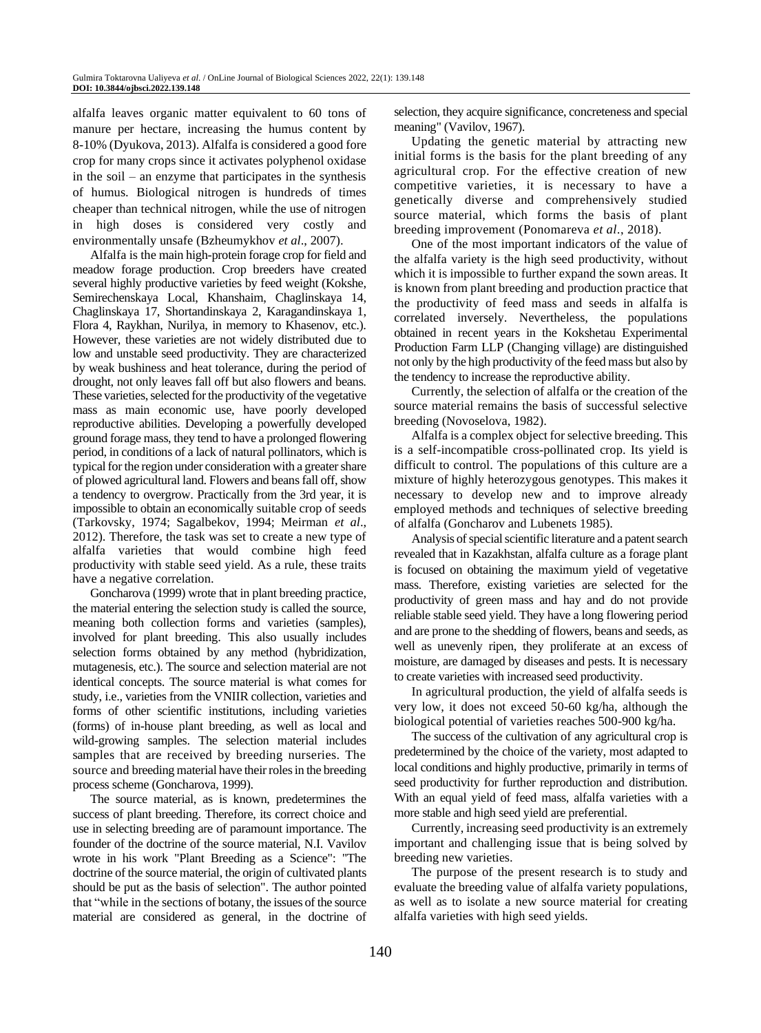alfalfa leaves organic matter equivalent to 60 tons of manure per hectare, increasing the humus content by 8-10% (Dyukova, 2013). Alfalfa is considered a good fore crop for many crops since it activates polyphenol oxidase in the soil – an enzyme that participates in the synthesis of humus. Biological nitrogen is hundreds of times cheaper than technical nitrogen, while the use of nitrogen in high doses is considered very costly and environmentally unsafe (Bzheumykhov *et al*., 2007).

Alfalfa is the main high-protein forage crop for field and meadow forage production. Crop breeders have created several highly productive varieties by feed weight (Kokshe, Semirechenskaya Local, Khanshaim, Chaglinskaya 14, Chaglinskaya 17, Shortandinskaya 2, Karagandinskaya 1, Flora 4, Raykhan, Nurilya, in memory to Khasenov, etc.). However, these varieties are not widely distributed due to low and unstable seed productivity. They are characterized by weak bushiness and heat tolerance, during the period of drought, not only leaves fall off but also flowers and beans. These varieties, selected for the productivity of the vegetative mass as main economic use, have poorly developed reproductive abilities. Developing a powerfully developed ground forage mass, they tend to have a prolonged flowering period, in conditions of a lack of natural pollinators, which is typical for the region under consideration with a greater share of plowed agricultural land. Flowers and beans fall off, show a tendency to overgrow. Practically from the 3rd year, it is impossible to obtain an economically suitable crop of seeds (Tarkovsky, 1974; Sagalbekov, 1994; Meirman *et al*., 2012). Therefore, the task was set to create a new type of alfalfa varieties that would combine high feed productivity with stable seed yield. As a rule, these traits have a negative correlation.

Goncharova (1999) wrote that in plant breeding practice, the material entering the selection study is called the source, meaning both collection forms and varieties (samples), involved for plant breeding. This also usually includes selection forms obtained by any method (hybridization, mutagenesis, etc.). The source and selection material are not identical concepts. The source material is what comes for study, i.e., varieties from the VNIIR collection, varieties and forms of other scientific institutions, including varieties (forms) of in-house plant breeding, as well as local and wild-growing samples. The selection material includes samples that are received by breeding nurseries. The source and breeding material have their roles in the breeding process scheme (Goncharova, 1999).

The source material, as is known, predetermines the success of plant breeding. Therefore, its correct choice and use in selecting breeding are of paramount importance. The founder of the doctrine of the source material, N.I. Vavilov wrote in his work "Plant Breeding as a Science": "The doctrine of the source material, the origin of cultivated plants should be put as the basis of selection". The author pointed that "while in the sections of botany, the issues of the source material are considered as general, in the doctrine of

selection, they acquire significance, concreteness and special meaning" (Vavilov, 1967).

Updating the genetic material by attracting new initial forms is the basis for the plant breeding of any agricultural crop. For the effective creation of new competitive varieties, it is necessary to have a genetically diverse and comprehensively studied source material, which forms the basis of plant breeding improvement (Ponomareva *et al*., 2018).

One of the most important indicators of the value of the alfalfa variety is the high seed productivity, without which it is impossible to further expand the sown areas. It is known from plant breeding and production practice that the productivity of feed mass and seeds in alfalfa is correlated inversely. Nevertheless, the populations obtained in recent years in the Kokshetau Experimental Production Farm LLP (Changing village) are distinguished not only by the high productivity of the feed mass but also by the tendency to increase the reproductive ability.

Currently, the selection of alfalfa or the creation of the source material remains the basis of successful selective breeding (Novoselova, 1982).

Alfalfa is a complex object for selective breeding. This is a self-incompatible cross-pollinated crop. Its yield is difficult to control. The populations of this culture are a mixture of highly heterozygous genotypes. This makes it necessary to develop new and to improve already employed methods and techniques of selective breeding of alfalfa (Goncharov and Lubenets 1985).

Analysis of special scientific literature and a patent search revealed that in Kazakhstan, alfalfa culture as a forage plant is focused on obtaining the maximum yield of vegetative mass. Therefore, existing varieties are selected for the productivity of green mass and hay and do not provide reliable stable seed yield. They have a long flowering period and are prone to the shedding of flowers, beans and seeds, as well as unevenly ripen, they proliferate at an excess of moisture, are damaged by diseases and pests. It is necessary to create varieties with increased seed productivity.

In agricultural production, the yield of alfalfa seeds is very low, it does not exceed 50-60 kg/ha, although the biological potential of varieties reaches 500-900 kg/ha.

The success of the cultivation of any agricultural crop is predetermined by the choice of the variety, most adapted to local conditions and highly productive, primarily in terms of seed productivity for further reproduction and distribution. With an equal yield of feed mass, alfalfa varieties with a more stable and high seed yield are preferential.

Currently, increasing seed productivity is an extremely important and challenging issue that is being solved by breeding new varieties.

The purpose of the present research is to study and evaluate the breeding value of alfalfa variety populations, as well as to isolate a new source material for creating alfalfa varieties with high seed yields.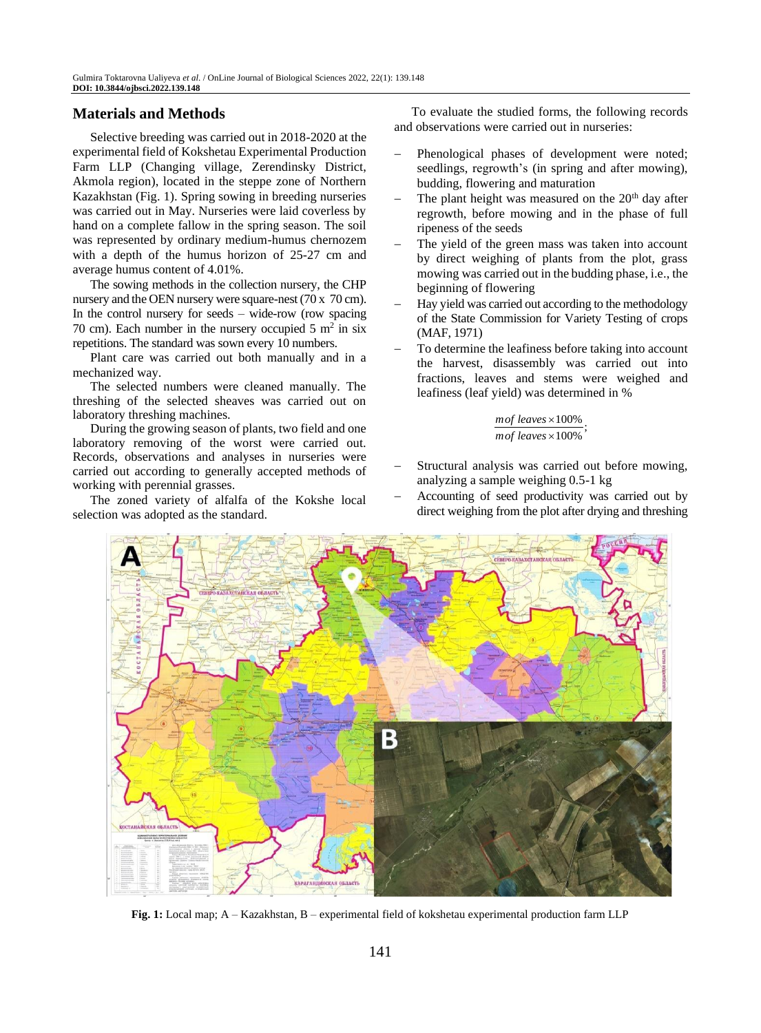# **Materials and Methods**

Selective breeding was carried out in 2018-2020 at the experimental field of Kokshetau Experimental Production Farm LLP (Changing village, Zerendinsky District, Akmola region), located in the steppe zone of Northern Kazakhstan (Fig. 1). Spring sowing in breeding nurseries was carried out in May. Nurseries were laid coverless by hand on a complete fallow in the spring season. The soil was represented by ordinary medium-humus chernozem with a depth of the humus horizon of 25-27 cm and average humus content of 4.01%.

The sowing methods in the collection nursery, the CHP nursery and the OEN nursery were square-nest (70 x 70 cm). In the control nursery for seeds  $-$  wide-row (row spacing 70 cm). Each number in the nursery occupied  $5 \text{ m}^2$  in six repetitions. The standard was sown every 10 numbers.

Plant care was carried out both manually and in a mechanized way.

The selected numbers were cleaned manually. The threshing of the selected sheaves was carried out on laboratory threshing machines.

During the growing season of plants, two field and one laboratory removing of the worst were carried out. Records, observations and analyses in nurseries were carried out according to generally accepted methods of working with perennial grasses.

The zoned variety of alfalfa of the Kokshe local selection was adopted as the standard.

To evaluate the studied forms, the following records and observations were carried out in nurseries:

- Phenological phases of development were noted; seedlings, regrowth's (in spring and after mowing), budding, flowering and maturation
- The plant height was measured on the  $20<sup>th</sup>$  day after regrowth, before mowing and in the phase of full ripeness of the seeds
- The yield of the green mass was taken into account by direct weighing of plants from the plot, grass mowing was carried out in the budding phase, i.e., the beginning of flowering
- Hay yield was carried out according to the methodology of the State Commission for Variety Testing of crops (MAF, 1971)
- To determine the leafiness before taking into account the harvest, disassembly was carried out into fractions, leaves and stems were weighed and leafiness (leaf yield) was determined in %

#### mof leaves  $\times$ 100% ; mof leaves  $\times 100\%$

- Structural analysis was carried out before mowing, analyzing a sample weighing 0.5-1 kg
- Accounting of seed productivity was carried out by direct weighing from the plot after drying and threshing



**Fig. 1:** Local map; A – Kazakhstan, B – experimental field of kokshetau experimental production farm LLP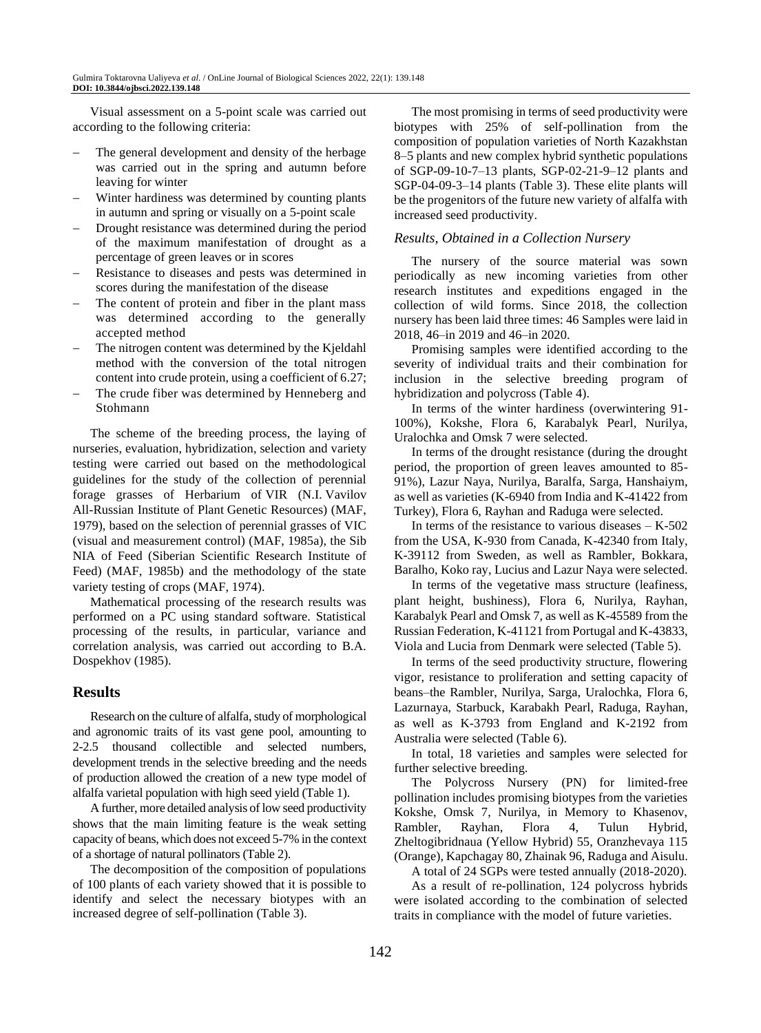Visual assessment on a 5-point scale was carried out according to the following criteria:

- The general development and density of the herbage was carried out in the spring and autumn before leaving for winter
- Winter hardiness was determined by counting plants in autumn and spring or visually on a 5-point scale
- Drought resistance was determined during the period of the maximum manifestation of drought as a percentage of green leaves or in scores
- Resistance to diseases and pests was determined in scores during the manifestation of the disease
- The content of protein and fiber in the plant mass was determined according to the generally accepted method
- The nitrogen content was determined by the Kjeldahl method with the conversion of the total nitrogen content into crude protein, using a coefficient of 6.27;
- The crude fiber was determined by Henneberg and Stohmann

The scheme of the breeding process, the laying of nurseries, evaluation, hybridization, selection and variety testing were carried out based on the methodological guidelines for the study of the collection of perennial forage grasses of Herbarium of VIR (N.I. Vavilov All-Russian Institute of Plant Genetic Resources) (MAF, 1979), based on the selection of perennial grasses of VIC (visual and measurement control) (MAF, 1985a), the Sib NIA of Feed (Siberian Scientific Research Institute of Feed) (MAF, 1985b) and the methodology of the state variety testing of crops (MAF, 1974).

Mathematical processing of the research results was performed on a PC using standard software. Statistical processing of the results, in particular, variance and correlation analysis, was carried out according to B.A. Dospekhov (1985).

# **Results**

Research on the culture of alfalfa, study of morphological and agronomic traits of its vast gene pool, amounting to 2-2.5 thousand collectible and selected numbers, development trends in the selective breeding and the needs of production allowed the creation of a new type model of alfalfa varietal population with high seed yield (Table 1).

A further, more detailed analysis of low seed productivity shows that the main limiting feature is the weak setting capacity of beans, which does not exceed 5-7% in the context of a shortage of natural pollinators (Table 2).

The decomposition of the composition of populations of 100 plants of each variety showed that it is possible to identify and select the necessary biotypes with an increased degree of self-pollination (Table 3).

The most promising in terms of seed productivity were biotypes with 25% of self-pollination from the composition of population varieties of North Kazakhstan 8–5 plants and new complex hybrid synthetic populations of SGP-09-10-7–13 plants, SGP-02-21-9–12 plants and SGP-04-09-3–14 plants (Table 3). These elite plants will be the progenitors of the future new variety of alfalfa with increased seed productivity.

#### *Results, Obtained in a Collection Nursery*

The nursery of the source material was sown periodically as new incoming varieties from other research institutes and expeditions engaged in the collection of wild forms. Since 2018, the collection nursery has been laid three times: 46 Samples were laid in 2018, 46–in 2019 and 46–in 2020.

Promising samples were identified according to the severity of individual traits and their combination for inclusion in the selective breeding program of hybridization and polycross (Table 4).

In terms of the winter hardiness (overwintering 91- 100%), Kokshe, Flora 6, Karabalyk Pearl, Nurilya, Uralochka and Omsk 7 were selected.

In terms of the drought resistance (during the drought period, the proportion of green leaves amounted to 85- 91%), Lazur Naya, Nurilya, Baralfa, Sarga, Hanshaiym, as well as varieties (K-6940 from India and K-41422 from Turkey), Flora 6, Rayhan and Raduga were selected.

In terms of the resistance to various diseases  $-$  K-502 from the USA, K-930 from Canada, K-42340 from Italy, K-39112 from Sweden, as well as Rambler, Bokkara, Baralho, Koko ray, Lucius and Lazur Naya were selected.

In terms of the vegetative mass structure (leafiness, plant height, bushiness), Flora 6, Nurilya, Rayhan, Karabalyk Pearl and Omsk 7, as well as K-45589 from the Russian Federation, K-41121 from Portugal and K-43833, Viola and Lucia from Denmark were selected (Table 5).

In terms of the seed productivity structure, flowering vigor, resistance to proliferation and setting capacity of beans–the Rambler, Nurilya, Sarga, Uralochka, Flora 6, Lazurnaya, Starbuck, Karabakh Pearl, Raduga, Rayhan, as well as K-3793 from England and K-2192 from Australia were selected (Table 6).

In total, 18 varieties and samples were selected for further selective breeding.

The Polycross Nursery (PN) for limited-free pollination includes promising biotypes from the varieties Kokshe, Omsk 7, Nurilya, in Memory to Khasenov, Rambler, Rayhan, Flora 4, Tulun Hybrid, Zheltogibridnaua (Yellow Hybrid) 55, Oranzhevaya 115 (Orange), Kapchagay 80, Zhainak 96, Raduga and Aisulu.

A total of 24 SGPs were tested annually (2018-2020).

As a result of re-pollination, 124 polycross hybrids were isolated according to the combination of selected traits in compliance with the model of future varieties.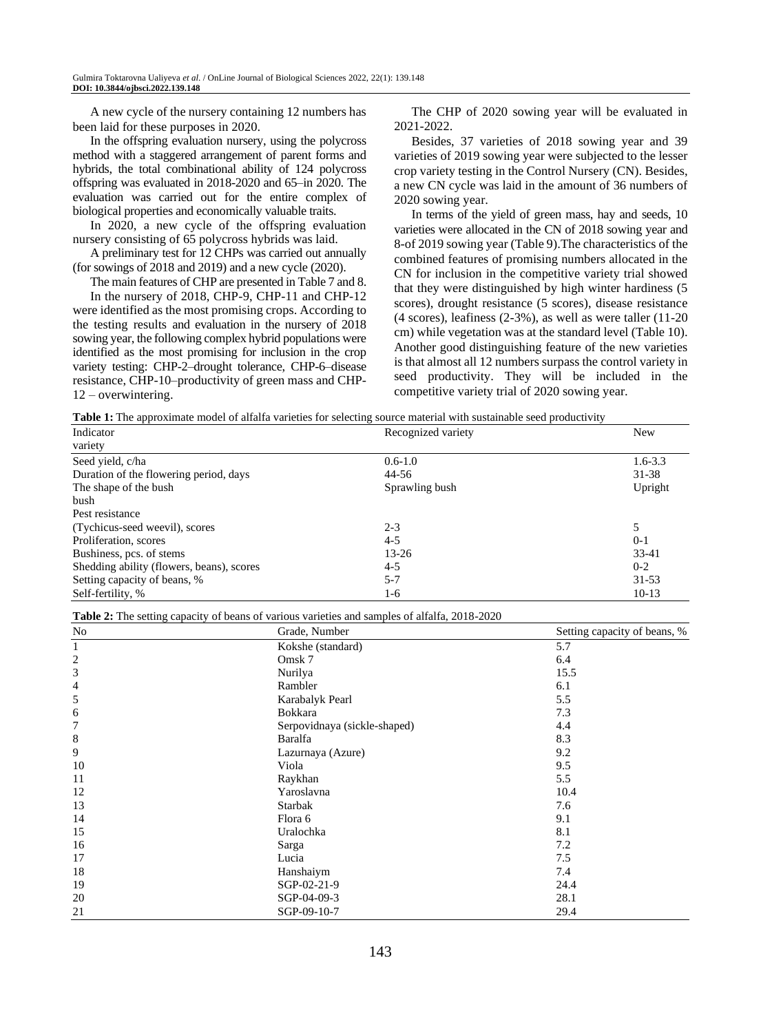A new cycle of the nursery containing 12 numbers has been laid for these purposes in 2020.

In the offspring evaluation nursery, using the polycross method with a staggered arrangement of parent forms and hybrids, the total combinational ability of 124 polycross offspring was evaluated in 2018-2020 and 65–in 2020. The evaluation was carried out for the entire complex of biological properties and economically valuable traits.

In 2020, a new cycle of the offspring evaluation nursery consisting of 65 polycross hybrids was laid.

A preliminary test for 12 CHPs was carried out annually (for sowings of 2018 and 2019) and a new cycle (2020).

The main features of CHP are presented in Table 7 and 8.

In the nursery of 2018, CHP-9, CHP-11 and CHP-12 were identified as the most promising crops. According to the testing results and evaluation in the nursery of 2018 sowing year, the following complex hybrid populations were identified as the most promising for inclusion in the crop variety testing: CHP-2–drought tolerance, CHP-6–disease resistance, CHP-10–productivity of green mass and CHP-12 – overwintering.

The CHP of 2020 sowing year will be evaluated in 2021-2022.

Besides, 37 varieties of 2018 sowing year and 39 varieties of 2019 sowing year were subjected to the lesser crop variety testing in the Control Nursery (CN). Besides, a new CN cycle was laid in the amount of 36 numbers of 2020 sowing year.

In terms of the yield of green mass, hay and seeds, 10 varieties were allocated in the CN of 2018 sowing year and 8-of 2019 sowing year (Table 9).The characteristics of the combined features of promising numbers allocated in the CN for inclusion in the competitive variety trial showed that they were distinguished by high winter hardiness (5 scores), drought resistance (5 scores), disease resistance (4 scores), leafiness (2-3%), as well as were taller (11-20 cm) while vegetation was at the standard level (Table 10). Another good distinguishing feature of the new varieties is that almost all 12 numbers surpass the control variety in seed productivity. They will be included in the competitive variety trial of 2020 sowing year.

**Table 1:** The approximate model of alfalfa varieties for selecting source material with sustainable seed productivity

| Indicator                                 | Recognized variety | <b>New</b>  |
|-------------------------------------------|--------------------|-------------|
| variety                                   |                    |             |
| Seed yield, c/ha                          | $0.6 - 1.0$        | $1.6 - 3.3$ |
| Duration of the flowering period, days    | 44-56              | $31 - 38$   |
| The shape of the bush                     | Sprawling bush     | Upright     |
| bush                                      |                    |             |
| Pest resistance                           |                    |             |
| (Tychicus-seed weevil), scores            | $2 - 3$            | 5           |
| Proliferation, scores                     | $4 - 5$            | $0-1$       |
| Bushiness, pcs. of stems                  | $13 - 26$          | 33-41       |
| Shedding ability (flowers, beans), scores | $4 - 5$            | $0 - 2$     |
| Setting capacity of beans, %              | $5 - 7$            | $31 - 53$   |
| Self-fertility, %                         | $1-6$              | $10-13$     |

| Table 2: The setting capacity of beans of various varieties and samples of alfalfa, 2018-2020 |
|-----------------------------------------------------------------------------------------------|
|-----------------------------------------------------------------------------------------------|

| No                      | Grade, Number                | Setting capacity of beans, % |
|-------------------------|------------------------------|------------------------------|
| 1                       | Kokshe (standard)            | 5.7                          |
| $\overline{\mathbf{c}}$ | Omsk <sub>7</sub>            | 6.4                          |
| $\mathfrak{Z}$          | Nurilya                      | 15.5                         |
| 4                       | Rambler                      | 6.1                          |
| 5                       | Karabalyk Pearl              | 5.5                          |
| 6                       | <b>Bokkara</b>               | 7.3                          |
| 7                       | Serpovidnaya (sickle-shaped) | 4.4                          |
| 8                       | Baralfa                      | 8.3                          |
| 9                       | Lazurnaya (Azure)            | 9.2                          |
| 10                      | Viola                        | 9.5                          |
| 11                      | Raykhan                      | 5.5                          |
| 12                      | Yaroslavna                   | 10.4                         |
| 13                      | <b>Starbak</b>               | 7.6                          |
| 14                      | Flora 6                      | 9.1                          |
| 15                      | Uralochka                    | 8.1                          |
| 16                      | Sarga                        | 7.2                          |
| 17                      | Lucia                        | 7.5                          |
| 18                      | Hanshaiym                    | 7.4                          |
| 19                      | SGP-02-21-9                  | 24.4                         |
| 20                      | SGP-04-09-3                  | 28.1                         |
| 21                      | SGP-09-10-7                  | 29.4                         |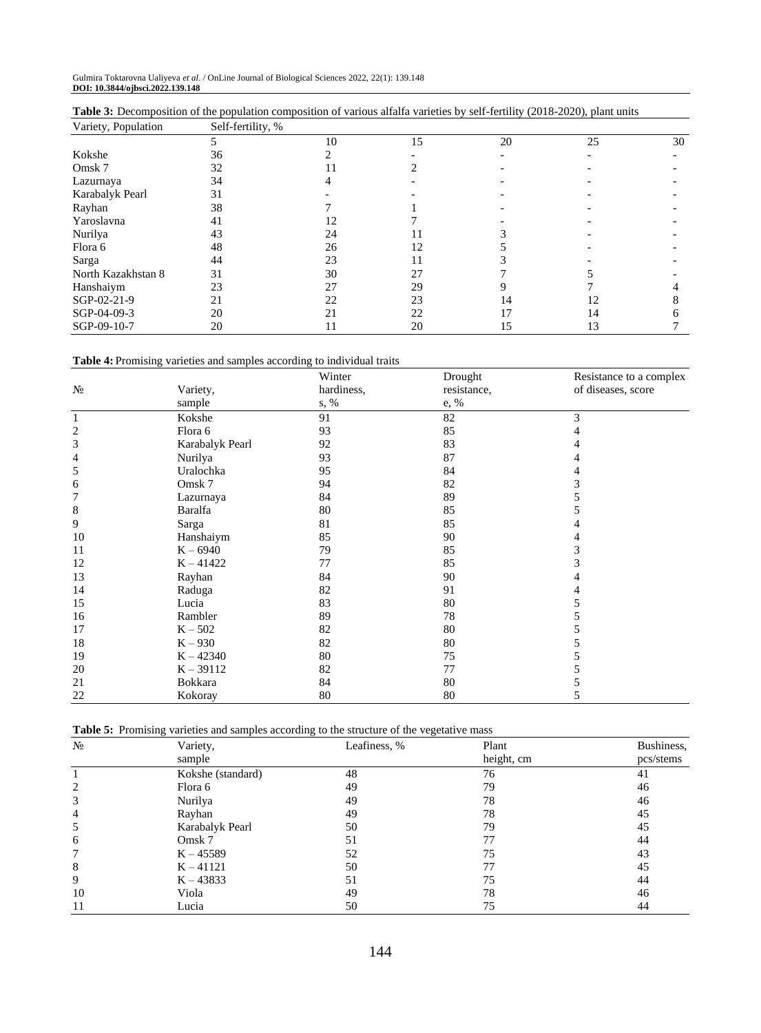| Variety, Population | Self-fertility, % |    |    |    |    |    |
|---------------------|-------------------|----|----|----|----|----|
|                     |                   | 10 | 15 | 20 | 25 | 30 |
| Kokshe              | 36                |    |    |    |    |    |
| Omsk <sub>7</sub>   | 32                | 11 |    |    |    |    |
| Lazurnaya           | 34                |    |    |    |    |    |
| Karabalyk Pearl     | 31                |    |    |    |    |    |
| Rayhan              | 38                |    |    |    |    |    |
| Yaroslavna          | 41                | 12 |    |    |    |    |
| Nurilya             | 43                | 24 |    |    |    |    |
| Flora 6             | 48                | 26 | 12 |    |    |    |
| Sarga               | 44                | 23 |    |    |    |    |
| North Kazakhstan 8  | 31                | 30 | 27 |    |    |    |
| Hanshaiym           | 23                | 27 | 29 |    |    |    |
| SGP-02-21-9         | 21                | 22 | 23 | 14 | 12 |    |
| SGP-04-09-3         | 20                | 21 | 22 | 17 | 14 |    |
| SGP-09-10-7         | 20                | 11 | 20 | 15 | 13 |    |

| <b>Table 3:</b> Decomposition of the population composition of various alfalfa varieties by self-fertility (2018-2020), plant units |  |  |  |
|-------------------------------------------------------------------------------------------------------------------------------------|--|--|--|
|-------------------------------------------------------------------------------------------------------------------------------------|--|--|--|

**Table 4:** Promising varieties and samples according to individual traits

|                         |                   | Winter     | Drought     | Resistance to a complex |
|-------------------------|-------------------|------------|-------------|-------------------------|
| $N_2$                   | Variety,          | hardiness, | resistance, | of diseases, score      |
|                         | sample            | s, %       | e, %        |                         |
| $\mathbf{1}$            | Kokshe            | 91         | 82          | 3                       |
| $\overline{\mathbf{c}}$ | Flora 6           | 93         | 85          | 4                       |
| 3                       | Karabalyk Pearl   | 92         | 83          | 4                       |
| 4                       | Nurilya           | 93         | 87          | 4                       |
| 5                       | Uralochka         | 95         | 84          | 4                       |
| 6                       | Omsk <sub>7</sub> | 94         | 82          | 3                       |
| 7                       | Lazurnaya         | 84         | 89          | 5                       |
| 8                       | Baralfa           | 80         | 85          | 5                       |
| 9                       | Sarga             | 81         | 85          | 4                       |
| 10                      | Hanshaiym         | 85         | 90          | 4                       |
| 11                      | $K - 6940$        | 79         | 85          | 3                       |
| 12                      | $K - 41422$       | 77         | 85          | 3                       |
| 13                      | Rayhan            | 84         | 90          |                         |
| 14                      | Raduga            | 82         | 91          | 4                       |
| 15                      | Lucia             | 83         | 80          | 5                       |
| 16                      | Rambler           | 89         | 78          | 5                       |
| 17                      | $K - 502$         | 82         | 80          | 5                       |
| 18                      | $K - 930$         | 82         | 80          | 5                       |
| 19                      | $K - 42340$       | 80         | 75          | 5                       |
| 20                      | $K - 39112$       | 82         | 77          | 5                       |
| 21                      | Bokkara           | 84         | 80          | 5                       |
| 22                      | Kokoray           | 80         | 80          | 5                       |

| $N_2$ | Variety,          | Leafiness, % | Plant      | Bushiness, |
|-------|-------------------|--------------|------------|------------|
|       | sample            |              | height, cm | pcs/stems  |
|       | Kokshe (standard) | 48           | 76         | 41         |
| 2     | Flora 6           | 49           | 79         | 46         |
| 3     | Nurilya           | 49           | 78         | 46         |
| 4     | Rayhan            | 49           | 78         | 45         |
| 5     | Karabalyk Pearl   | 50           | 79         | 45         |
| 6     | Omsk <sub>7</sub> | 51           | 77         | 44         |
| 7     | $K - 45589$       | 52           | 75         | 43         |
| 8     | $K - 41121$       | 50           | 77         | 45         |
| 9     | $K - 43833$       | 51           | 75         | 44         |
| 10    | Viola             | 49           | 78         | 46         |
| 11    | Lucia             | 50           | 75         | 44         |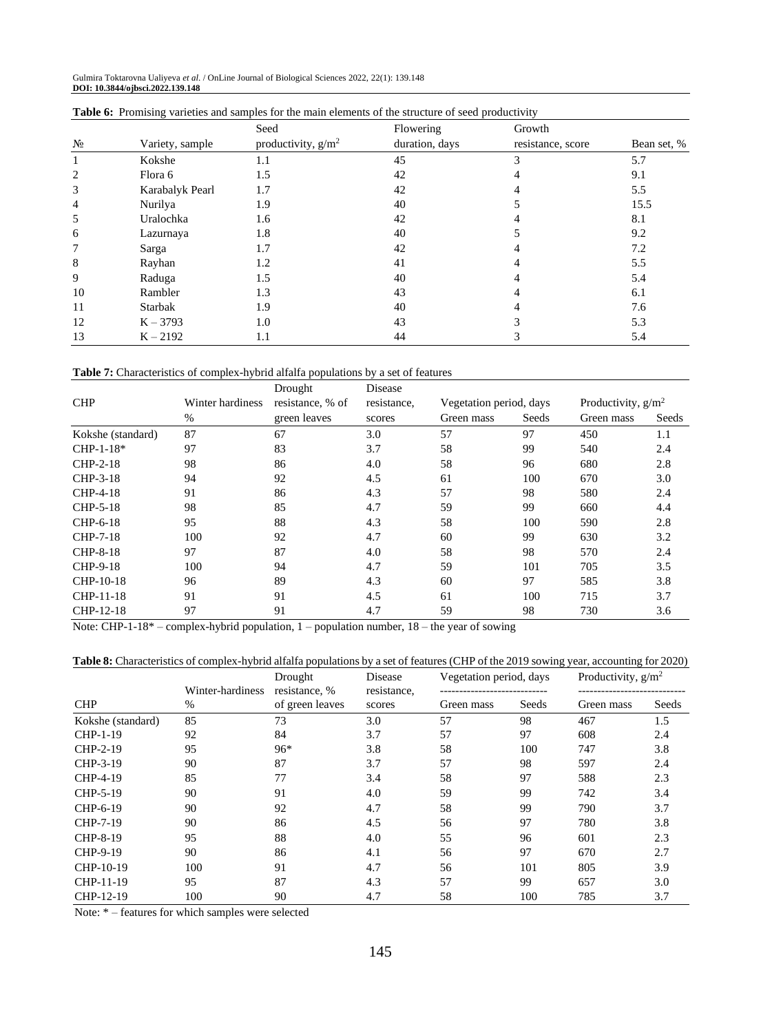Gulmira Toktarovna Ualiyeva *et al*. / OnLine Journal of Biological Sciences 2022, 22(1): 139.148 **DOI: 10.3844/ojbsci.2022.139.148**

|                |                 | Seed                  | Flowering      | Growth            |             |
|----------------|-----------------|-----------------------|----------------|-------------------|-------------|
| $N_2$          | Variety, sample | productivity, $g/m^2$ | duration, days | resistance, score | Bean set, % |
|                | Kokshe          | 1.1                   | 45             |                   | 5.7         |
| 2              | Flora 6         | 1.5                   | 42             |                   | 9.1         |
| 3              | Karabalyk Pearl | 1.7                   | 42             |                   | 5.5         |
| $\overline{4}$ | Nurilya         | 1.9                   | 40             |                   | 15.5        |
| 5              | Uralochka       | 1.6                   | 42             |                   | 8.1         |
| 6              | Lazurnaya       | 1.8                   | 40             |                   | 9.2         |
| 7              | Sarga           | 1.7                   | 42             |                   | 7.2         |
| 8              | Rayhan          | 1.2                   | 41             |                   | 5.5         |
| 9              | Raduga          | 1.5                   | 40             |                   | 5.4         |
| 10             | Rambler         | 1.3                   | 43             |                   | 6.1         |
| 11             | Starbak         | 1.9                   | 40             |                   | 7.6         |
| 12             | $K - 3793$      | 1.0                   | 43             |                   | 5.3         |
| 13             | $K - 2192$      | 1.1                   | 44             |                   | 5.4         |

|  | <b>Table 6:</b> Promising varieties and samples for the main elements of the structure of seed productivity |  |  |  |  |  |
|--|-------------------------------------------------------------------------------------------------------------|--|--|--|--|--|
|  |                                                                                                             |  |  |  |  |  |

**Table 7:** Characteristics of complex-hybrid alfalfa populations by a set of features

|                   |                  | Drought          | Disease     |            |                         |            |                       |  |
|-------------------|------------------|------------------|-------------|------------|-------------------------|------------|-----------------------|--|
| <b>CHP</b>        | Winter hardiness | resistance, % of | resistance, |            | Vegetation period, days |            | Productivity, $g/m^2$ |  |
|                   | %                | green leaves     | scores      | Green mass | Seeds                   | Green mass | Seeds                 |  |
| Kokshe (standard) | 87               | 67               | 3.0         | 57         | 97                      | 450        | 1.1                   |  |
| $CHP-1-18*$       | 97               | 83               | 3.7         | 58         | 99                      | 540        | 2.4                   |  |
| CHP-2-18          | 98               | 86               | 4.0         | 58         | 96                      | 680        | 2.8                   |  |
| CHP-3-18          | 94               | 92               | 4.5         | 61         | 100                     | 670        | 3.0                   |  |
| CHP-4-18          | 91               | 86               | 4.3         | 57         | 98                      | 580        | 2.4                   |  |
| CHP-5-18          | 98               | 85               | 4.7         | 59         | 99                      | 660        | 4.4                   |  |
| CHP-6-18          | 95               | 88               | 4.3         | 58         | 100                     | 590        | 2.8                   |  |
| CHP-7-18          | 100              | 92               | 4.7         | 60         | 99                      | 630        | 3.2                   |  |
| CHP-8-18          | 97               | 87               | 4.0         | 58         | 98                      | 570        | 2.4                   |  |
| CHP-9-18          | 100              | 94               | 4.7         | 59         | 101                     | 705        | 3.5                   |  |
| CHP-10-18         | 96               | 89               | 4.3         | 60         | 97                      | 585        | 3.8                   |  |
| CHP-11-18         | 91               | 91               | 4.5         | 61         | 100                     | 715        | 3.7                   |  |
| CHP-12-18         | 97               | 91               | 4.7         | 59         | 98                      | 730        | 3.6                   |  |

Note: CHP-1-18\* – complex-hybrid population, 1 – population number, 18 – the year of sowing

**Table 8:** Characteristics of complex-hybrid alfalfa populations by a set of features (CHP of the 2019 sowing year, accounting for 2020)

|                   |                  | Vegetation period, days<br>Drought<br>Disease |             | Productivity, $g/m^2$ |       |            |       |
|-------------------|------------------|-----------------------------------------------|-------------|-----------------------|-------|------------|-------|
|                   | Winter-hardiness | resistance. %                                 | resistance, |                       |       |            |       |
| <b>CHP</b>        | %                | of green leaves                               | scores      | Green mass            | Seeds | Green mass | Seeds |
| Kokshe (standard) | 85               | 73                                            | 3.0         | 57                    | 98    | 467        | 1.5   |
| CHP-1-19          | 92               | 84                                            | 3.7         | 57                    | 97    | 608        | 2.4   |
| CHP-2-19          | 95               | 96*                                           | 3.8         | 58                    | 100   | 747        | 3.8   |
| CHP-3-19          | 90               | 87                                            | 3.7         | 57                    | 98    | 597        | 2.4   |
| CHP-4-19          | 85               | 77                                            | 3.4         | 58                    | 97    | 588        | 2.3   |
| CHP-5-19          | 90               | 91                                            | 4.0         | 59                    | 99    | 742        | 3.4   |
| CHP-6-19          | 90               | 92                                            | 4.7         | 58                    | 99    | 790        | 3.7   |
| CHP-7-19          | 90               | 86                                            | 4.5         | 56                    | 97    | 780        | 3.8   |
| CHP-8-19          | 95               | 88                                            | 4.0         | 55                    | 96    | 601        | 2.3   |
| CHP-9-19          | 90               | 86                                            | 4.1         | 56                    | 97    | 670        | 2.7   |
| CHP-10-19         | 100              | 91                                            | 4.7         | 56                    | 101   | 805        | 3.9   |
| CHP-11-19         | 95               | 87                                            | 4.3         | 57                    | 99    | 657        | 3.0   |
| CHP-12-19         | 100              | 90                                            | 4.7         | 58                    | 100   | 785        | 3.7   |

Note: \* – features for which samples were selected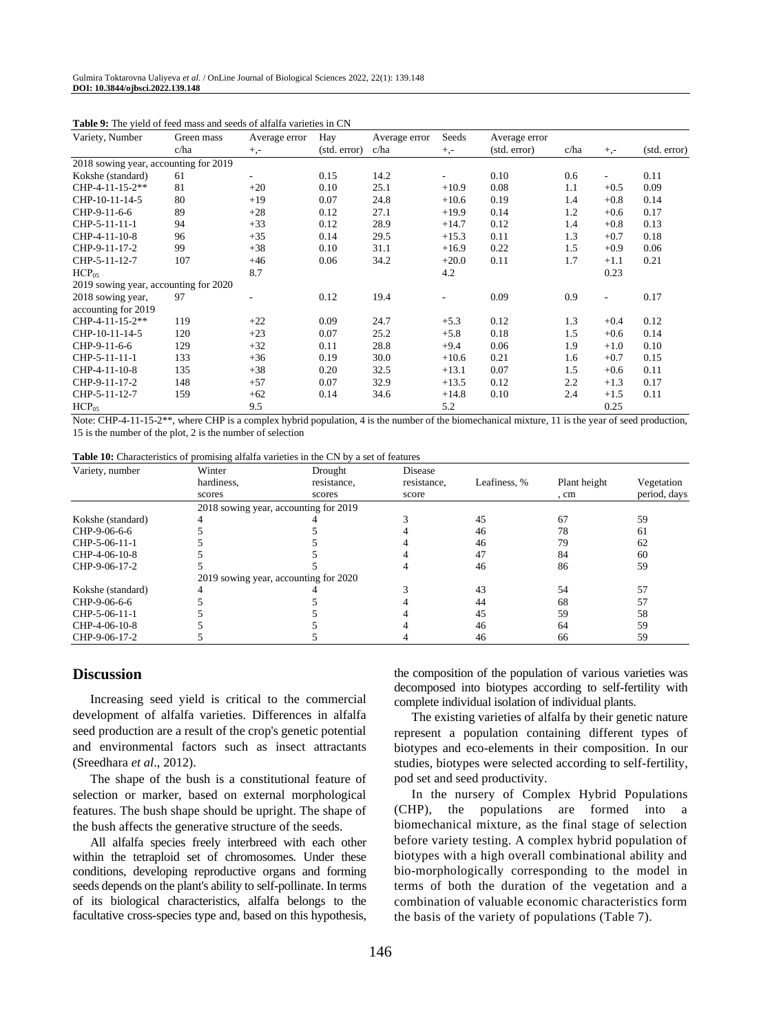| Variety, Number                       | Green mass | Average error | Hay          | Average error | Seeds    | Average error |      |                          |              |
|---------------------------------------|------------|---------------|--------------|---------------|----------|---------------|------|--------------------------|--------------|
|                                       | c/ha       | $+,-$         | (std. error) | c/ha          | $^{+,-}$ | (std. error)  | c/ha | $^{+,-}$                 | (std. error) |
| 2018 sowing year, accounting for 2019 |            |               |              |               |          |               |      |                          |              |
| Kokshe (standard)                     | 61         |               | 0.15         | 14.2          |          | 0.10          | 0.6  | $\overline{\phantom{a}}$ | 0.11         |
| CHP-4-11-15-2**                       | 81         | $+20$         | 0.10         | 25.1          | $+10.9$  | 0.08          | 1.1  | $+0.5$                   | 0.09         |
| CHP-10-11-14-5                        | 80         | $+19$         | 0.07         | 24.8          | $+10.6$  | 0.19          | 1.4  | $+0.8$                   | 0.14         |
| CHP-9-11-6-6                          | 89         | $+28$         | 0.12         | 27.1          | $+19.9$  | 0.14          | 1.2  | $+0.6$                   | 0.17         |
| CHP-5-11-11-1                         | 94         | $+33$         | 0.12         | 28.9          | $+14.7$  | 0.12          | 1.4  | $+0.8$                   | 0.13         |
| CHP-4-11-10-8                         | 96         | $+35$         | 0.14         | 29.5          | $+15.3$  | 0.11          | 1.3  | $+0.7$                   | 0.18         |
| CHP-9-11-17-2                         | 99         | $+38$         | 0.10         | 31.1          | $+16.9$  | 0.22          | 1.5  | $+0.9$                   | 0.06         |
| CHP-5-11-12-7                         | 107        | $+46$         | 0.06         | 34.2          | $+20.0$  | 0.11          | 1.7  | $+1.1$                   | 0.21         |
| HCP <sub>05</sub>                     |            | 8.7           |              |               | 4.2      |               |      | 0.23                     |              |
| 2019 sowing year, accounting for 2020 |            |               |              |               |          |               |      |                          |              |
| 2018 sowing year,                     | 97         |               | 0.12         | 19.4          |          | 0.09          | 0.9  | $\overline{\phantom{a}}$ | 0.17         |
| accounting for 2019                   |            |               |              |               |          |               |      |                          |              |
| CHP-4-11-15-2**                       | 119        | $+22$         | 0.09         | 24.7          | $+5.3$   | 0.12          | 1.3  | $+0.4$                   | 0.12         |
| CHP-10-11-14-5                        | 120        | $+23$         | 0.07         | 25.2          | $+5.8$   | 0.18          | 1.5  | $+0.6$                   | 0.14         |
| CHP-9-11-6-6                          | 129        | $+32$         | 0.11         | 28.8          | $+9.4$   | 0.06          | 1.9  | $+1.0$                   | 0.10         |
| CHP-5-11-11-1                         | 133        | $+36$         | 0.19         | 30.0          | $+10.6$  | 0.21          | 1.6  | $+0.7$                   | 0.15         |
| CHP-4-11-10-8                         | 135        | $+38$         | 0.20         | 32.5          | $+13.1$  | 0.07          | 1.5  | $+0.6$                   | 0.11         |
| CHP-9-11-17-2                         | 148        | $+57$         | 0.07         | 32.9          | $+13.5$  | 0.12          | 2.2  | $+1.3$                   | 0.17         |
| CHP-5-11-12-7                         | 159        | $+62$         | 0.14         | 34.6          | $+14.8$  | 0.10          | 2.4  | $+1.5$                   | 0.11         |
| HCP <sub>05</sub>                     |            | 9.5           |              |               | 5.2      |               |      | 0.25                     |              |

| <b>Table 9:</b> The vield of feed mass and seeds of alfalfa varieties in CN |  |  |
|-----------------------------------------------------------------------------|--|--|
|-----------------------------------------------------------------------------|--|--|

Note: CHP-4-11-15-2\*\*, where CHP is a complex hybrid population, 4 is the number of the biomechanical mixture, 11 is the year of seed production, 15 is the number of the plot, 2 is the number of selection

| <b>Table 10:</b> Characteristics of promising alfalfa varieties in the CN by a set of features |  |  |
|------------------------------------------------------------------------------------------------|--|--|
|------------------------------------------------------------------------------------------------|--|--|

| Variety, number   | Winter<br>hardiness.                  | Drought<br>resistance, | Disease<br>resistance. | Leafiness, % | Plant height | Vegetation   |
|-------------------|---------------------------------------|------------------------|------------------------|--------------|--------------|--------------|
|                   | scores                                | scores                 | score                  |              | , cm         | period, days |
|                   | 2018 sowing year, accounting for 2019 |                        |                        |              |              |              |
| Kokshe (standard) |                                       |                        |                        | 45           | 67           | 59           |
| CHP-9-06-6-6      |                                       |                        |                        | 46           | 78           | 61           |
| CHP-5-06-11-1     |                                       |                        |                        | 46           | 79           | 62           |
| CHP-4-06-10-8     |                                       |                        |                        | 47           | 84           | 60           |
| CHP-9-06-17-2     |                                       |                        |                        | 46           | 86           | 59           |
|                   | 2019 sowing year, accounting for 2020 |                        |                        |              |              |              |
| Kokshe (standard) |                                       |                        |                        | 43           | 54           | 57           |
| CHP-9-06-6-6      |                                       |                        |                        | 44           | 68           | 57           |
| CHP-5-06-11-1     |                                       |                        |                        | 45           | 59           | 58           |
| CHP-4-06-10-8     |                                       |                        |                        | 46           | 64           | 59           |
| CHP-9-06-17-2     |                                       |                        |                        | 46           | 66           | 59           |

#### **Discussion**

Increasing seed yield is critical to the commercial development of alfalfa varieties. Differences in alfalfa seed production are a result of the crop's genetic potential and environmental factors such as insect attractants (Sreedhara *et al*., 2012).

The shape of the bush is a constitutional feature of selection or marker, based on external morphological features. The bush shape should be upright. The shape of the bush affects the generative structure of the seeds.

All alfalfa species freely interbreed with each other within the tetraploid set of chromosomes. Under these conditions, developing reproductive organs and forming seeds depends on the plant's ability to self-pollinate. In terms of its biological characteristics, alfalfa belongs to the facultative cross-species type and, based on this hypothesis,

the composition of the population of various varieties was decomposed into biotypes according to self-fertility with complete individual isolation of individual plants.

The existing varieties of alfalfa by their genetic nature represent a population containing different types of biotypes and eco-elements in their composition. In our studies, biotypes were selected according to self-fertility, pod set and seed productivity.

In the nursery of Complex Hybrid Populations (CHP), the populations are formed into a biomechanical mixture, as the final stage of selection before variety testing. A complex hybrid population of biotypes with a high overall combinational ability and bio-morphologically corresponding to the model in terms of both the duration of the vegetation and a combination of valuable economic characteristics form the basis of the variety of populations (Table 7).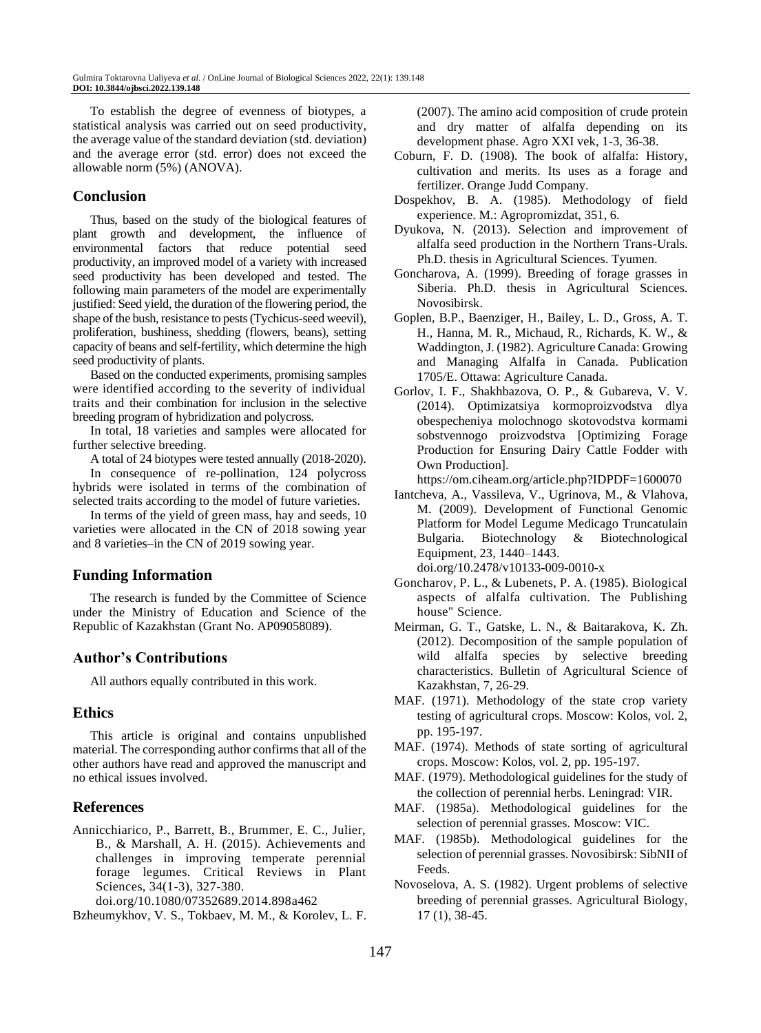To establish the degree of evenness of biotypes, a statistical analysis was carried out on seed productivity, the average value of the standard deviation (std. deviation) and the average error (std. error) does not exceed the allowable norm (5%) (ANOVA).

### **Conclusion**

Thus, based on the study of the biological features of plant growth and development, the influence of environmental factors that reduce potential seed productivity, an improved model of a variety with increased seed productivity has been developed and tested. The following main parameters of the model are experimentally justified: Seed yield, the duration of the flowering period, the shape of the bush, resistance to pests (Tychicus-seed weevil), proliferation, bushiness, shedding (flowers, beans), setting capacity of beans and self-fertility, which determine the high seed productivity of plants.

Based on the conducted experiments, promising samples were identified according to the severity of individual traits and their combination for inclusion in the selective breeding program of hybridization and polycross.

In total, 18 varieties and samples were allocated for further selective breeding.

A total of 24 biotypes were tested annually (2018-2020).

In consequence of re-pollination, 124 polycross hybrids were isolated in terms of the combination of selected traits according to the model of future varieties.

In terms of the yield of green mass, hay and seeds, 10 varieties were allocated in the CN of 2018 sowing year and 8 varieties–in the CN of 2019 sowing year.

# **Funding Information**

The research is funded by the Committee of Science under the Ministry of Education and Science of the Republic of Kazakhstan (Grant No. AP09058089).

# **Author's Contributions**

All authors equally contributed in this work.

#### **Ethics**

This article is original and contains unpublished material. The corresponding author confirms that all of the other authors have read and approved the manuscript and no ethical issues involved.

# **References**

Annicchiarico, P., Barrett, B., Brummer, E. C., Julier, B., & Marshall, A. H. (2015). Achievements and challenges in improving temperate perennial forage legumes. Critical Reviews in Plant Sciences, 34(1-3), 327-380.

doi.org/10.1080/07352689.2014.898a462

Bzheumykhov, V. S., Tokbaev, M. M., & Korolev, L. F.

(2007). The amino acid composition of crude protein and dry matter of alfalfa depending on its development phase. Agro XXI vek, 1-3, 36-38.

- Coburn, F. D. (1908). The book of alfalfa: History, cultivation and merits. Its uses as a forage and fertilizer. Orange Judd Company.
- Dospekhov, B. A. (1985). Methodology of field experience. M.: Agropromizdat, 351, 6.
- Dyukova, N. (2013). Selection and improvement of alfalfa seed production in the Northern Trans-Urals. Ph.D. thesis in Agricultural Sciences. Tyumen.
- Goncharova, A. (1999). Breeding of forage grasses in Siberia. Ph.D. thesis in Agricultural Sciences. Novosibirsk.
- Goplen, B.P., Baenziger, H., Bailey, L. D., Gross, A. T. H., Hanna, M. R., Michaud, R., Richards, K. W., & Waddington, J. (1982). Agriculture Canada: Growing and Managing Alfalfa in Canada. Publication 1705/E. Ottawa: Agriculture Canada.
- Gorlov, I. F., Shakhbazova, O. P., & Gubareva, V. V. (2014). Optimizatsiya kormoproizvodstva dlya obespecheniya molochnogo skotovodstva kormami sobstvennogo proizvodstva [Optimizing Forage Production for Ensuring Dairy Cattle Fodder with Own Production].

<https://om.ciheam.org/article.php?IDPDF=1600070>

Iantcheva, A., Vassileva, V., Ugrinova, M., & Vlahova, M. (2009). Development of Functional Genomic Platform for Model Legume Medicago Truncatulain Bulgaria. Biotechnology & Biotechnological Equipment, 23, 1440–1443. doi.org/10.2478/v10133-009-0010-x

Goncharov, P. L., & Lubenets, P. A. (1985). Biological aspects of alfalfa cultivation. The Publishing house" Science.

- Meirman, G. T., Gatske, L. N., & Baitarakova, K. Zh. (2012). Decomposition of the sample population of wild alfalfa species by selective breeding characteristics. Bulletin of Agricultural Science of Kazakhstan, 7, 26-29.
- MAF. (1971). Methodology of the state crop variety testing of agricultural crops. Moscow: Kolos, vol. 2, pp. 195-197.
- MAF. (1974). Methods of state sorting of agricultural crops. Moscow: Kolos, vol. 2, pp. 195-197.
- MAF. (1979). Methodological guidelines for the study of the collection of perennial herbs. Leningrad: VIR.
- MAF. (1985a). Methodological guidelines for the selection of perennial grasses. Moscow: VIC.
- MAF. (1985b). Methodological guidelines for the selection of perennial grasses. Novosibirsk: SibNII of Feeds.
- Novoselova, A. S. (1982). Urgent problems of selective breeding of perennial grasses. Agricultural Biology, 17 (1), 38-45.